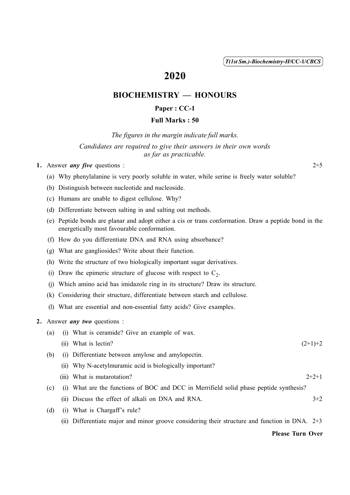( 1 ) *T(1st Sm.)-Biochemistry-H*/CC-1/*CBCS*

# 2020

## BIOCHEMISTRY — HONOURS

### Paper : CC-1

### Full Marks : 50

*The figures in the margin indicate full marks.*

#### *Candidates are required to give their answers in their own words as far as practicable.*

#### 1. Answer *any five* questions :  $2 \times 5$

- (a) Why phenylalanine is very poorly soluble in water, while serine is freely water soluble?
- (b) Distinguish between nucleotide and nucleoside.
- (c) Humans are unable to digest cellulose. Why?
- (d) Differentiate between salting in and salting out methods.
- (e) Peptide bonds are planar and adopt either a cis or trans conformation. Draw a peptide bond in the energetically most favourable conformation.
- (f) How do you differentiate DNA and RNA using absorbance?
- (g) What are gangliosides? Write about their function.
- (h) Write the structure of two biologically important sugar derivatives.
- (i) Draw the epimeric structure of glucose with respect to  $C_2$ .
- (j) Which amino acid has imidazole ring in its structure? Draw its structure.
- (k) Considering their structure, differentiate between starch and cellulose.
- (l) What are essential and non-essential fatty acids? Give examples.

#### 2. Answer *any two* questions :

| (a) |      | (i) What is ceramide? Give an example of wax.                                                    |           |
|-----|------|--------------------------------------------------------------------------------------------------|-----------|
|     | (11) | What is lectin?                                                                                  | $(2+1)+2$ |
| (b) |      | (i) Differentiate between amylose and amylopectin.                                               |           |
|     |      | (ii) Why N-acetylmuramic acid is biologically important?                                         |           |
|     |      | (iii) What is mutarotation?                                                                      | $2+2+1$   |
| (c) |      | (i) What are the functions of BOC and DCC in Merrifield solid phase peptide synthesis?           |           |
|     |      | (ii) Discuss the effect of alkali on DNA and RNA.                                                | $3+2$     |
| (d) | (1)  | What is Chargaff's rule?                                                                         |           |
|     |      | (ii) Differentiate major and minor groove considering their structure and function in DNA. $2+3$ |           |

Please Turn Over